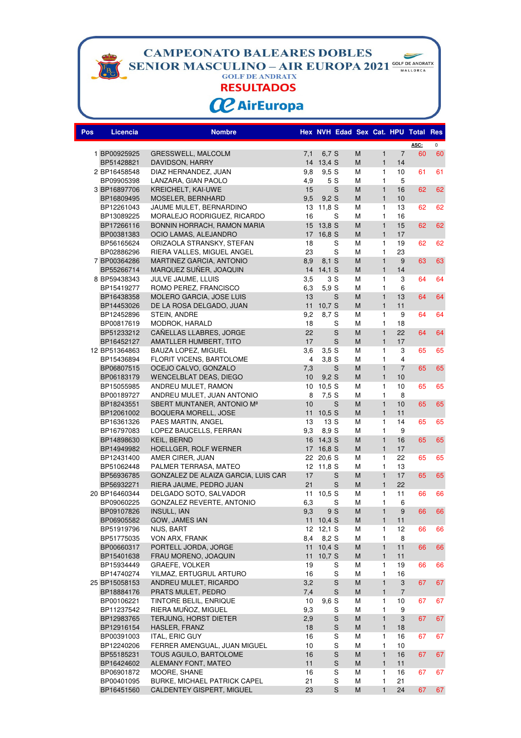**CAMPEONATO BALEARES DOBLES** 

**SENIOR MASCULINO – AIR EUROPA 2021** COLF DE ANDRATX

 $\blacktriangleright$ 

**RESULTADOS** 

## **CC** AirEuropa

| Pos | <b>Licencia</b>          | <b>Nombre</b>                             |                 | Hex NVH Edad Sex Cat. HPU Total Res |        |              |                           |      |                     |
|-----|--------------------------|-------------------------------------------|-----------------|-------------------------------------|--------|--------------|---------------------------|------|---------------------|
|     |                          |                                           |                 |                                     |        |              |                           | ASC: | $\mathsf{O}\xspace$ |
|     | 1 BP00925925             | <b>GRESSWELL, MALCOLM</b>                 | 7,1             | 6,7 S                               | M      | $\mathbf{1}$ | $\overline{7}$            | 60   | 60                  |
|     | BP51428821               | DAVIDSON, HARRY                           |                 | 14 13,4 S                           | M      | $\mathbf{1}$ | 14                        |      |                     |
|     | 2 BP16458548             | DIAZ HERNANDEZ, JUAN                      | 9,8             | 9,5S                                | M      | $\mathbf{1}$ | 10                        | 61   | 61                  |
|     | BP09905398               | LANZARA, GIAN PAOLO                       | 4,9             | 5 S                                 | M      | $\mathbf{1}$ | 5                         |      |                     |
|     | 3 BP16897706             | KREICHELT, KAI-UWE                        | 15              | S                                   | M      | $\mathbf{1}$ | 16                        | 62   | 62                  |
|     | BP16809495               | MOSELER, BERNHARD                         | 9,5             | 9.2S                                | M      | $\mathbf{1}$ | 10                        |      |                     |
|     | BP12261043               | JAUME MULET, BERNARDINO                   | 13              | 11,8 S                              | М      | 1            | 13                        | 62   | 62                  |
|     | BP13089225               | MORALEJO RODRIGUEZ, RICARDO               | 16              | S                                   | M      | 1            | 16                        |      |                     |
|     | BP17266116               | BONNIN HORRACH, RAMON MARIA               | 15              | 13,8S                               | M      | $\mathbf{1}$ | 15                        | 62   | 62                  |
|     | BP00381383               | OCIO LAMAS, ALEJANDRO                     | 17              | 16,8 S                              | M      | $\mathbf{1}$ | 17                        |      |                     |
|     | BP56165624               | ORIZAOLA STRANSKY, STEFAN                 | 18              | S                                   | М      | 1            | 19                        | 62   | 62                  |
|     | BP02886296               | RIERA VALLES, MIGUEL ANGEL                | 23              | S                                   | М      | 1            | 23                        |      |                     |
|     | 7 BP00364286             | MARTINEZ GARCIA, ANTONIO                  | 8,9             | 8.1 S                               | M      | $\mathbf{1}$ | 9                         | 63   | 63                  |
|     | BP55266714               | MARQUEZ SUÑER, JOAQUIN                    |                 | 14 14,1 S                           | M      | $\mathbf{1}$ | 14                        |      |                     |
|     | 8 BP59438343             | JULVE JAUME, LLUIS                        | 3,5             | 3 S                                 | М      | $\mathbf{1}$ | 3                         | 64   | 64                  |
|     | BP15419277               | ROMO PEREZ, FRANCISCO                     | 6,3             | 5,9S                                | M      | $\mathbf{1}$ | 6                         |      |                     |
|     | BP16438358               | MOLERO GARCIA, JOSE LUIS                  | 13              | S                                   | M      | $\mathbf{1}$ | 13                        | 64   | 64                  |
|     | BP14453026               | DE LA ROSA DELGADO, JUAN                  | 11              | 10,7S                               | M      | $\mathbf{1}$ | 11                        |      |                     |
|     | BP12452896               | STEIN, ANDRE                              | 9,2             | 8,7 S                               | M      | $\mathbf{1}$ | 9                         | 64   | 64                  |
|     | BP00817619               | MODROK, HARALD                            | 18              | S                                   | M      | 1            | 18                        |      |                     |
|     | BP51233212               | CAÑELLAS LLABRES, JORGE                   | 22              | S                                   | M      | $\mathbf{1}$ | 22                        | 64   | 64                  |
|     | BP16452127               | AMATLLER HUMBERT, TITO                    | 17              | S                                   | M      | $\mathbf{1}$ | 17                        |      |                     |
|     | 12 BP51364863            | <b>BAUZA LOPEZ, MIGUEL</b>                | 3,6             | 3,5S                                | M      | $\mathbf{1}$ | 3                         | 65   | 65                  |
|     | BP15436894               | FLORIT VICENS, BARTOLOME                  | $\overline{4}$  | 3,8S                                | M      | $\mathbf{1}$ | $\overline{\mathbf{4}}$   |      |                     |
|     | BP06807515               | OCEJO CALVO, GONZALO                      | 7,3             | S                                   | M      | $\mathbf{1}$ | $\overline{7}$            | 65   | 65                  |
|     | BP06183179               | <b>WENCELBLAT DEAS, DIEGO</b>             | 10 <sup>1</sup> | 9.2S                                | M      | $\mathbf{1}$ | 10                        |      |                     |
|     | BP15055985               | ANDREU MULET, RAMON                       | 10              | 10,5 S                              | М      | 1            | 10                        | 65   | 65                  |
|     | BP00189727               | ANDREU MULET, JUAN ANTONIO                | 8               | 7,5S                                | M      | 1            | 8                         |      |                     |
|     | BP18243551               | SBERT MUNTANER, ANTONIO Mª                | 10              | S                                   | M      | $\mathbf{1}$ | 10                        | 65   | 65                  |
|     | BP12061002               | BOQUERA MORELL, JOSE                      | 11              | 10,5 S                              | M      | $\mathbf{1}$ | 11                        |      |                     |
|     | BP16361326               | PAES MARTIN, ANGEL                        | 13              | 13 S                                | М      | 1            | 14                        | 65   | 65                  |
|     | BP16797083               | LOPEZ BAUCELLS, FERRAN                    | 9,3             | 8.9 S                               | М      | 1            | 9                         |      |                     |
|     | BP14898630               | KEIL, BERND                               |                 | 16 14,3 S                           | M      | $\mathbf{1}$ | 16                        | 65   | 65                  |
|     | BP14949982               | HOELLGER, ROLF WERNER                     |                 | 17 16,8 S                           | M      | $\mathbf{1}$ | 17                        |      |                     |
|     | BP12431400<br>BP51062448 | AMER CIRER, JUAN<br>PALMER TERRASA, MATEO |                 | 22 20,6 S<br>12 11,8 S              | M<br>M | 1<br>1       | 22<br>13                  | 65   | 65                  |
|     | BP56936785               | GONZALEZ DE ALAIZA GARCIA, LUIS CAR       | 17              | S                                   | M      | $\mathbf{1}$ | 17                        | 65   | 65                  |
|     | BP56932271               | RIERA JAUME, PEDRO JUAN                   | 21              | S                                   | M      | $\mathbf{1}$ | 22                        |      |                     |
|     | 20 BP16460344            | DELGADO SOTO, SALVADOR                    | 11              | 10,5 S                              | M      | $\mathbf{1}$ | 11                        | 66   | 66                  |
|     | BP09060225               | GONZALEZ REVERTE, ANTONIO                 | 6,3             | S                                   | М      | 1            | 6                         |      |                     |
|     | BP09107826               | <b>INSULL, IAN</b>                        | 9,3             | 9 S                                 | M      | $\mathbf{1}$ | 9                         | 66   | 66                  |
|     | BP06905582               | GOW, JAMES IAN                            |                 | 11 10,4 S                           | M      | 1            | 11                        |      |                     |
|     | BP51919796               | NIJS, BART                                |                 | 12 12,1 S                           | Μ      | 1            | 12                        | 66   | 66                  |
|     | BP51775035               | VON ARX, FRANK                            | 8,4             | 8,2 S                               | M      | 1            | 8                         |      |                     |
|     | BP00660317               | PORTELL JORDA, JORGE                      |                 | 11 10,4 S                           | M      | $\mathbf{1}$ | 11                        | 66   | 66                  |
|     | BP15401638               | FRAU MORENO, JOAQUIN                      | 11              | 10,7 S                              | M      | $\mathbf{1}$ | 11                        |      |                     |
|     | BP15934449               | <b>GRAEFE, VOLKER</b>                     | 19              | S                                   | M      | 1            | 19                        | 66   | 66                  |
|     | BP14740274               | YILMAZ, ERTUGRUL ARTURO                   | 16              | S                                   | М      | 1            | 16                        |      |                     |
|     | 25 BP15058153            | ANDREU MULET, RICARDO                     | 3,2             | $\mathbf S$                         | M      | $\mathbf{1}$ | $\ensuremath{\mathsf{3}}$ | 67   | 67                  |
|     | BP18884176               | PRATS MULET, PEDRO                        | 7,4             | $\mathbf S$                         | M      | $\mathbf{1}$ | $\overline{7}$            |      |                     |
|     | BP00106221               | TINTORE BELIL, ENRIQUE                    | 10              | 9,6S                                | М      | 1            | 10                        | 67   | 67                  |
|     | BP11237542               | RIERA MUÑOZ, MIGUEL                       | 9,3             | S                                   | М      | 1            | 9                         |      |                     |
|     | BP12983765               | TERJUNG, HORST DIETER                     | 2,9             | $\mathbf S$                         | M      | $\mathbf{1}$ | 3                         | 67   | 67                  |
|     | BP12916154               | HASLER, FRANZ                             | 18              | $\mathbf S$                         | M      | $\mathbf{1}$ | 18                        |      |                     |
|     | BP00391003               | ITAL, ERIC GUY                            | 16              | S                                   | М      | 1            | 16                        | 67   | 67                  |
|     | BP12240206               | FERRER AMENGUAL, JUAN MIGUEL              | 10              | ${\mathsf S}$                       | М      | 1            | 10                        |      |                     |
|     | BP55185231               | TOUS AGUILO, BARTOLOME                    | 16              | $\mathbf S$                         | M      | $\mathbf{1}$ | 16                        | 67   | 67                  |
|     | BP16424602               | ALEMANY FONT, MATEO                       | 11              | $\mathbf S$                         | M      | $\mathbf{1}$ | 11                        |      |                     |
|     | BP06901872               | MOORE, SHANE                              | 16              | ${\mathsf S}$                       | M      | 1            | 16                        | 67   | 67                  |
|     | BP00401095               | BURKE, MICHAEL PATRICK CAPEL              | 21              | S                                   | М      | 1            | 21                        |      |                     |
|     | BP16451560               | CALDENTEY GISPERT, MIGUEL                 | 23              | $\mathsf{S}$                        | M      | $\mathbf{1}$ | 24                        | 67   | 67                  |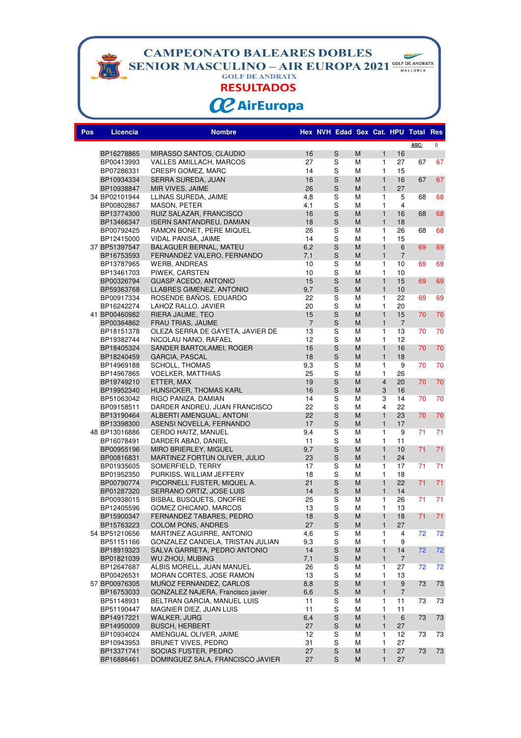**CAMPEONATO BALEARES DOBLES** 

**SENIOR MASCULINO – AIR EUROPA 2021** COLF DE ANDRATX

 $\blacktriangleright$ 

**RESULTADOS** 

# **CC** AirEuropa

| Pos | Licencia                 | <b>Nombre</b>                                         |                      | Hex NVH Edad Sex Cat. HPU Total Res                                                                                                                                                                                                                                                                                                                                                                                                                      |        |                   |                      |      |             |
|-----|--------------------------|-------------------------------------------------------|----------------------|----------------------------------------------------------------------------------------------------------------------------------------------------------------------------------------------------------------------------------------------------------------------------------------------------------------------------------------------------------------------------------------------------------------------------------------------------------|--------|-------------------|----------------------|------|-------------|
|     |                          |                                                       |                      |                                                                                                                                                                                                                                                                                                                                                                                                                                                          |        |                   |                      | ASC: | $\mathsf 0$ |
|     | BP16278865               | MIRASSO SANTOS, CLAUDIO                               | 16                   | S                                                                                                                                                                                                                                                                                                                                                                                                                                                        | M      | $\mathbf{1}$      | 16                   |      |             |
|     | BP00413993               | VALLES AMILLACH, MARCOS                               | 27                   | S                                                                                                                                                                                                                                                                                                                                                                                                                                                        | M      | 1                 | 27                   | 67   | 67          |
|     | BP07286331               | CRESPI GOMEZ, MARC                                    | 14                   | S                                                                                                                                                                                                                                                                                                                                                                                                                                                        | M      | $\mathbf{1}$      | 15                   |      |             |
|     | BP10934334               | SERRA SUREDA, JUAN                                    | 16                   | $\mathsf{s}$                                                                                                                                                                                                                                                                                                                                                                                                                                             | M      | $\mathbf{1}$      | 16                   | 67   | 67          |
|     | BP10938847               | MIR VIVES, JAIME                                      | 26                   | $\mathbf S$                                                                                                                                                                                                                                                                                                                                                                                                                                              | M      | $\mathbf{1}$      | 27                   |      |             |
|     | 34 BP02101944            | LLINAS SUREDA, JAIME                                  | 4,8                  | S                                                                                                                                                                                                                                                                                                                                                                                                                                                        | М      | 1                 | 5                    | 68   | 68          |
|     | BP00802867               | MASON, PETER                                          | 4,1                  | S                                                                                                                                                                                                                                                                                                                                                                                                                                                        | М      | 1                 | 4                    |      |             |
|     | BP13774300               | RUIZ SALAZAR, FRANCISCO                               | 16                   | S                                                                                                                                                                                                                                                                                                                                                                                                                                                        | M      | $\mathbf{1}$      | 16                   | 68   | 68          |
|     | BP13466347               | <b>ISERN SANTANDREU, DAMIAN</b>                       | 18                   | $\mathbf S$                                                                                                                                                                                                                                                                                                                                                                                                                                              | M      | $\mathbf{1}$      | 18                   |      |             |
|     | BP00792425               | RAMON BONET, PERE MIQUEL                              | 26                   | S                                                                                                                                                                                                                                                                                                                                                                                                                                                        | M      | $\mathbf{1}$      | 26                   | 68   | 68          |
|     | BP12415000               | VIDAL PANISA, JAIME                                   | 14                   | S                                                                                                                                                                                                                                                                                                                                                                                                                                                        | М      | 1                 | 15                   |      |             |
|     | 37 BP51397547            | <b>BALAGUER BERNAL, MATEU</b>                         | 6,2                  | $\mathsf{s}$                                                                                                                                                                                                                                                                                                                                                                                                                                             | M      | $\mathbf{1}$      | 6                    | 69   | 69          |
|     | BP16753593               | FERNANDEZ VALERO, FERNANDO                            | 7,1                  | $\mathsf{s}$                                                                                                                                                                                                                                                                                                                                                                                                                                             | M      | $\mathbf{1}$      | $\overline{7}$       |      |             |
|     | BP13787965               | <b>WERB, ANDREAS</b>                                  | 10                   | S                                                                                                                                                                                                                                                                                                                                                                                                                                                        | М      | 1                 | 10                   | 69   | 69          |
|     | BP13461703               | PIWEK, CARSTEN                                        | 10                   | S                                                                                                                                                                                                                                                                                                                                                                                                                                                        | M      | $\mathbf{1}$      | 10                   |      |             |
|     | BP00326794               | <b>GUASP ACEDO, ANTONIO</b>                           | 15                   | $\mathsf{S}% _{T}=\mathsf{S}_{T}\!\left( a,b\right) ,\ \mathsf{S}_{T}=\mathsf{S}_{T}\!\left( a,b\right) ,\ \mathsf{S}_{T}=\mathsf{S}_{T}\!\left( a,b\right) ,\ \mathsf{S}_{T}=\mathsf{S}_{T}\!\left( a,b\right) ,\ \mathsf{S}_{T}=\mathsf{S}_{T}\!\left( a,b\right) ,\ \mathsf{S}_{T}=\mathsf{S}_{T}\!\left( a,b\right) ,\ \mathsf{S}_{T}=\mathsf{S}_{T}\!\left( a,b\right) ,\ \mathsf{S}_{T}=\mathsf{S}_{T}\!\left( a,b\right) ,\ \mathsf{S}_{T}=\math$ | M      | $\mathbf{1}$      | 15                   | 69   | 69          |
|     | BP59363768               | LLABRES GIMENEZ, ANTONIO                              | 9,7                  | $\mathbf S$                                                                                                                                                                                                                                                                                                                                                                                                                                              | M      | $\mathbf{1}$      | 10                   |      |             |
|     | BP00917334               | ROSENDE BAÑOS, EDUARDO                                | 22                   | $\mathbf S$                                                                                                                                                                                                                                                                                                                                                                                                                                              | M      | 1                 | 22                   | 69   | 69          |
|     | BP16242274               | LAHOZ RALLO, JAVIER                                   | 20                   | S                                                                                                                                                                                                                                                                                                                                                                                                                                                        | М      | 1                 | 20                   |      |             |
|     | 41 BP00460982            | RIERA JAUME, TEO                                      | 15                   | $\mathbf S$                                                                                                                                                                                                                                                                                                                                                                                                                                              | M      | $\mathbf{1}$      | 15                   | 70   | 70          |
|     | BP00364862               | FRAU TRIAS, JAUME<br>OLEZA SERRA DE GAYETA, JAVIER DE | $\overline{7}$<br>13 | S<br>S                                                                                                                                                                                                                                                                                                                                                                                                                                                   | M<br>М | $\mathbf{1}$<br>1 | $\overline{7}$<br>13 | 70   | 70          |
|     | BP18151378               |                                                       | 12                   | S                                                                                                                                                                                                                                                                                                                                                                                                                                                        | M      | $\mathbf{1}$      | 12                   |      |             |
|     | BP19382744<br>BP18405324 | NICOLAU NANO, RAFAEL<br>SANDER BARTOLAMEI, ROGER      | 16                   | $\mathbf S$                                                                                                                                                                                                                                                                                                                                                                                                                                              | M      | $\mathbf{1}$      | 16                   | 70   | 70          |
|     | BP18240459               | <b>GARCIA, PASCAL</b>                                 | 18                   | $\mathbf S$                                                                                                                                                                                                                                                                                                                                                                                                                                              | M      | $\mathbf{1}$      | 18                   |      |             |
|     | BP14969188               | SCHOLL, THOMAS                                        | 9,3                  | S                                                                                                                                                                                                                                                                                                                                                                                                                                                        | М      | 1                 | 9                    | 70   | 70          |
|     | BP14967865               | <b>VOELKER, MATTHIAS</b>                              | 25                   | S                                                                                                                                                                                                                                                                                                                                                                                                                                                        | M      | 1                 | 26                   |      |             |
|     | BP19749210               | ETTER, MAX                                            | 19                   | S                                                                                                                                                                                                                                                                                                                                                                                                                                                        | M      | $\overline{4}$    | 20                   | 70   | 70          |
|     | BP19952340               | HUNSICKER, THOMAS KARL                                | 16                   | $\mathbf S$                                                                                                                                                                                                                                                                                                                                                                                                                                              | M      | 3                 | 16                   |      |             |
|     | BP51063042               | RIGO PANIZA, DAMIAN                                   | 14                   | S                                                                                                                                                                                                                                                                                                                                                                                                                                                        | M      | 3                 | 14                   | 70   | 70          |
|     | BP09158511               | DARDER ANDREU, JUAN FRANCISCO                         | 22                   | S                                                                                                                                                                                                                                                                                                                                                                                                                                                        | М      | 4                 | 22                   |      |             |
|     | BP13190464               | ALBERTI AMENGUAL, ANTONI                              | 22                   | $\mathbf S$                                                                                                                                                                                                                                                                                                                                                                                                                                              | M      | $\mathbf{1}$      | 23                   | 70   | 70          |
|     | BP13398300               | ASENSI NOVELLA, FERNANDO                              | 17                   | $\mathbf S$                                                                                                                                                                                                                                                                                                                                                                                                                                              | M      | $\mathbf{1}$      | 17                   |      |             |
|     | 48 BP13016886            | CERDO HAITZ, MANUEL                                   | 9,4                  | S                                                                                                                                                                                                                                                                                                                                                                                                                                                        | М      | 1                 | 9                    | 71   | 71          |
|     | BP16078491               | DARDER ABAD, DANIEL                                   | 11                   | S                                                                                                                                                                                                                                                                                                                                                                                                                                                        | М      | $\mathbf{1}$      | 11                   |      |             |
|     | BP00955196               | MIRO BRIERLEY, MIGUEL                                 | 9,7                  | $\mathsf{s}$                                                                                                                                                                                                                                                                                                                                                                                                                                             | M      | $\mathbf{1}$      | 10                   | 71   | 71          |
|     | BP00816831               | MARTINEZ FORTUN OLIVER, JULIO                         | 23                   | $\mathbf S$                                                                                                                                                                                                                                                                                                                                                                                                                                              | M      | $\mathbf{1}$      | 24                   |      |             |
|     | BP01935605               | SOMERFIELD, TERRY                                     | 17                   | $\overline{\mathbf{s}}$                                                                                                                                                                                                                                                                                                                                                                                                                                  | M      | 1                 | 17                   | 71   | 71          |
|     | BP01952350               | PURKISS, WILLIAM JEFFERY                              | 18                   | S                                                                                                                                                                                                                                                                                                                                                                                                                                                        | M      | 1                 | 18                   |      |             |
|     | BP00790774               | PICORNELL FUSTER, MIQUEL A.                           | 21                   | $\mathbf S$                                                                                                                                                                                                                                                                                                                                                                                                                                              | M      | $\mathbf{1}$      | 22                   | 71   | 71          |
|     | BP01287320               | SERRANO ORTIZ, JOSE LUIS                              | 14                   | $\mathbf S$                                                                                                                                                                                                                                                                                                                                                                                                                                              | M      | $\mathbf{1}$      | 14                   |      |             |
|     | BP00938015               | <b>BISBAL BUSQUETS, ONOFRE</b>                        | 25                   | S                                                                                                                                                                                                                                                                                                                                                                                                                                                        | М      | 1                 | 26                   | 71   | 71          |
|     | BP12405596               | GOMEZ CHICANO, MARCOS                                 | 13                   | S                                                                                                                                                                                                                                                                                                                                                                                                                                                        | M      | $\mathbf{1}$      | 13                   |      |             |
|     | BP15900347               | FERNANDEZ TABARES, PEDRO                              | 18                   | $\mathbf S$                                                                                                                                                                                                                                                                                                                                                                                                                                              | M      | $\mathbf{1}$      | 18                   | 71   | 71          |
|     | BP15763223               | <b>COLOM PONS, ANDRES</b>                             | 27                   | $\mathbb S$                                                                                                                                                                                                                                                                                                                                                                                                                                              | M      | $\mathbf{1}$      | 27                   |      |             |
|     | 54 BP51210656            | MARTINEZ AGUIRRE, ANTONIO                             | 4,6                  | S                                                                                                                                                                                                                                                                                                                                                                                                                                                        | Μ      | 1                 | 4                    | 72   | 72          |
|     | BP51151166               | GONZALEZ CANDELA, TRISTAN JULIAN                      | 9,3                  | S                                                                                                                                                                                                                                                                                                                                                                                                                                                        | М      | 1                 | 9                    |      |             |
|     | BP18919323               | SALVA GARRETA, PEDRO ANTONIO                          | 14                   | $\mathsf S$                                                                                                                                                                                                                                                                                                                                                                                                                                              | M      | $\mathbf{1}$      | 14                   | 72   | 72          |
|     | BP01821039               | WU ZHOU, MUBING<br>ALBIS MORELL, JUAN MANUEL          | 7,1                  | $\mathbf S$                                                                                                                                                                                                                                                                                                                                                                                                                                              | M      | $\mathbf{1}$      | $\overline{7}$       |      |             |
|     | BP12647687<br>BP00426531 | MORAN CORTES, JOSE RAMON                              | 26<br>13             | $\rm s$<br>S                                                                                                                                                                                                                                                                                                                                                                                                                                             | М<br>М | 1<br>1            | 27<br>13             | 72   | 72          |
|     | 57 BP00976305            | MUÑOZ FERNANDEZ, CARLOS                               | 8,8                  | $\mathbf S$                                                                                                                                                                                                                                                                                                                                                                                                                                              | M      | $\mathbf{1}$      | $\boldsymbol{9}$     | 73   |             |
|     | BP16753033               | GONZALEZ NAJERA, Francisco javier                     | 6,6                  | $\mathbb S$                                                                                                                                                                                                                                                                                                                                                                                                                                              | M      | $\mathbf{1}$      | $\overline{7}$       |      | 73          |
|     | BP51148931               | BELTRAN GARCIA, MANUEL LUIS                           | 11                   | S                                                                                                                                                                                                                                                                                                                                                                                                                                                        | М      | 1                 | 11                   | 73   | 73          |
|     | BP51190447               | MAGNIER DIEZ, JUAN LUIS                               | 11                   | $\mathbf S$                                                                                                                                                                                                                                                                                                                                                                                                                                              | М      | $\mathbf{1}$      | 11                   |      |             |
|     | BP14917221               | WALKER, JURG                                          | 6,4                  | $\mathbf S$                                                                                                                                                                                                                                                                                                                                                                                                                                              | M      | $\mathbf{1}$      | $6\phantom{1}6$      | 73   | 73          |
|     | BP14950009               | <b>BUSCH, HERBERT</b>                                 | 27                   | $\mathbf S$                                                                                                                                                                                                                                                                                                                                                                                                                                              | M      | $\mathbf{1}$      | 27                   |      |             |
|     | BP10934024               | AMENGUAL OLIVER, JAIME                                | 12                   | $\mathbf S$                                                                                                                                                                                                                                                                                                                                                                                                                                              | М      | 1                 | 12                   | 73   | 73          |
|     | BP10943953               | BRUNET VIVES, PEDRO                                   | 31                   | $\mathbb S$                                                                                                                                                                                                                                                                                                                                                                                                                                              | М      | 1                 | 27                   |      |             |
|     | BP13371741               | SOCIAS FUSTER, PEDRO                                  | 27                   | $\mathsf S$                                                                                                                                                                                                                                                                                                                                                                                                                                              | M      | $\mathbf{1}$      | 27                   | 73   | 73          |
|     | BP16886461               | DOMINGUEZ SALA, FRANCISCO JAVIER                      | 27                   | S                                                                                                                                                                                                                                                                                                                                                                                                                                                        | M      | $\mathbf{1}$      | 27                   |      |             |